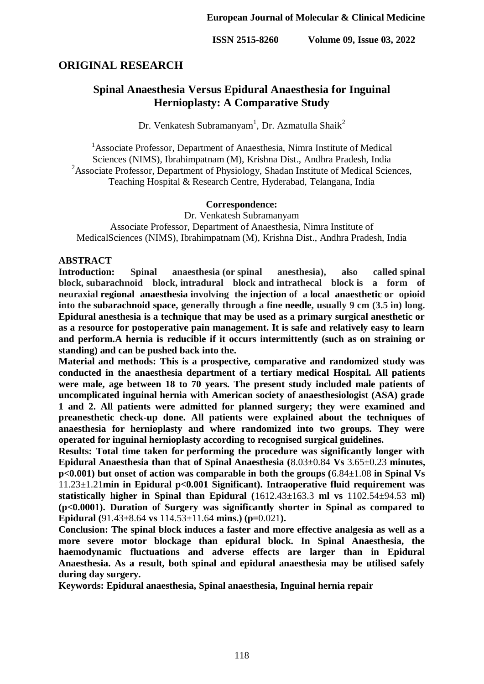# **ORIGINAL RESEARCH**

# **Spinal Anaesthesia Versus Epidural Anaesthesia for Inguinal Hernioplasty: A Comparative Study**

Dr. Venkatesh Subramanyam<sup>1</sup>, Dr. Azmatulla Shaik<sup>2</sup>

<sup>1</sup>Associate Professor, Department of Anaesthesia, Nimra Institute of Medical Sciences (NIMS), Ibrahimpatnam (M), Krishna Dist., Andhra Pradesh, India <sup>2</sup>Associate Professor, Department of Physiology, Shadan Institute of Medical Sciences, Teaching Hospital & Research Centre, Hyderabad, Telangana, India

#### **Correspondence:**

Dr. Venkatesh Subramanyam

Associate Professor, Department of Anaesthesia, Nimra Institute of MedicalSciences (NIMS), Ibrahimpatnam (M), Krishna Dist., Andhra Pradesh, India

#### **ABSTRACT**

**Introduction:** Spinal anaesthesia (or spinal anesthesia), also called spinal **block, subarachnoid block, intradural block and intrathecal block is a form of neuraxial regional anaesthesia involving the injection of a local anaesthetic or opioid into the subarachnoid space, generally through a fine needle, usually 9 cm (3.5 in) long. Epidural anesthesia is a technique that may be used as a primary surgical anesthetic or as a resource for postoperative pain management. It is safe and relatively easy to learn and perform.A hernia is reducible if it occurs intermittently (such as on straining or standing) and can be pushed back into the.**

**Material and methods: This is a prospective, comparative and randomized study was conducted in the anaesthesia department of a tertiary medical Hospital. All patients were male, age between 18 to 70 years. The present study included male patients of uncomplicated inguinal hernia with American society of anaesthesiologist (ASA) grade 1 and 2. All patients were admitted for planned surgery; they were examined and preanesthetic check-up done. All patients were explained about the techniques of anaesthesia for hernioplasty and where randomized into two groups. They were operated for inguinal hernioplasty according to recognised surgical guidelines.**

**Results: Total time taken for performing the procedure was significantly longer with Epidural Anaesthesia than that of Spinal Anaesthesia (**8.03±0.84 **Vs** 3.65±0.23 **minutes, p<0.001) but onset of action was comparable in both the groups (**6.84±1.08 **in Spinal Vs**  11.23±1.21**min in Epidural p<0.001 Significant). Intraoperative fluid requirement was statistically higher in Spinal than Epidural (**1612.43±163.3 **ml vs** 1102.54±94.53 **ml) (p<0.0001). Duration of Surgery was significantly shorter in Spinal as compared to Epidural (**91.43±8.64 **vs** 114.53±11.64 **mins.) (p=**0.021**).**

**Conclusion: The spinal block induces a faster and more effective analgesia as well as a more severe motor blockage than epidural block. In Spinal Anaesthesia, the haemodynamic fluctuations and adverse effects are larger than in Epidural Anaesthesia. As a result, both spinal and epidural anaesthesia may be utilised safely during day surgery.**

**Keywords: Epidural anaesthesia, Spinal anaesthesia, Inguinal hernia repair**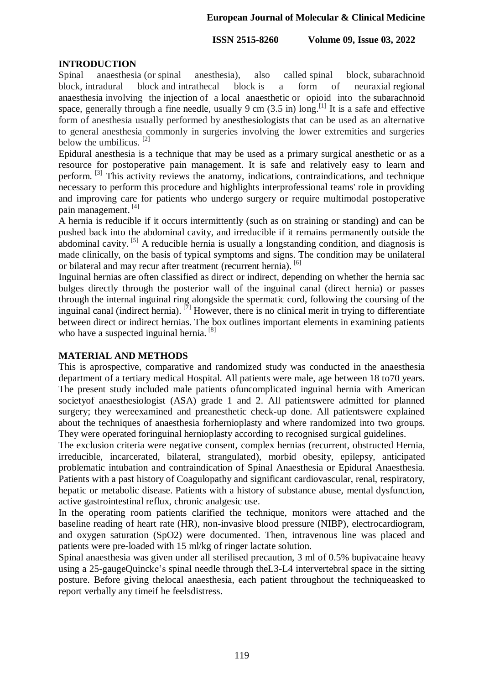# **INTRODUCTION**

Spinal anaesthesia (or spinal anesthesia), also called spinal block, subarachnoid block, intradural block and intrathecal block is a form of neuraxial regional anaesthesia involving the injection of a local anaesthetic or opioid into the subarachnoid space, generally through a fine needle, usually 9 cm  $(3.5 \text{ in})$  long.<sup>[1]</sup> It is a safe and effective form of anesthesia usually performed by anesthesiologists that can be used as an alternative to general anesthesia commonly in surgeries involving the lower extremities and surgeries below the umbilicus.  $[2]$ 

Epidural anesthesia is a technique that may be used as a primary surgical anesthetic or as a resource for postoperative pain management. It is safe and relatively easy to learn and perform. [3] This activity reviews the anatomy, indications, contraindications, and technique necessary to perform this procedure and highlights interprofessional teams' role in providing and improving care for patients who undergo surgery or require multimodal postoperative pain management. [4]

A hernia is reducible if it occurs intermittently (such as on straining or standing) and can be pushed back into the abdominal cavity, and irreducible if it remains permanently outside the abdominal cavity.  $\left[5\right]$  A reducible hernia is usually a longstanding condition, and diagnosis is made clinically, on the basis of typical symptoms and signs. The condition may be unilateral or bilateral and may recur after treatment (recurrent hernia). [6]

Inguinal hernias are often classified as direct or indirect, depending on whether the hernia sac bulges directly through the posterior wall of the inguinal canal (direct hernia) or passes through the internal inguinal ring alongside the spermatic cord, following the coursing of the inguinal canal (indirect hernia). [7] However, there is no clinical merit in trying to differentiate between direct or indirect hernias. The box outlines important elements in examining patients who have a suspected inguinal hernia.<sup>[8]</sup>

### **MATERIAL AND METHODS**

This is aprospective, comparative and randomized study was conducted in the anaesthesia department of a tertiary medical Hospital. All patients were male, age between 18 to70 years. The present study included male patients ofuncomplicated inguinal hernia with American societyof anaesthesiologist (ASA) grade 1 and 2. All patientswere admitted for planned surgery; they wereexamined and preanesthetic check-up done. All patientswere explained about the techniques of anaesthesia forhernioplasty and where randomized into two groups. They were operated foringuinal hernioplasty according to recognised surgical guidelines.

The exclusion criteria were negative consent, complex hernias (recurrent, obstructed Hernia, irreducible, incarcerated, bilateral, strangulated), morbid obesity, epilepsy, anticipated problematic intubation and contraindication of Spinal Anaesthesia or Epidural Anaesthesia. Patients with a past history of Coagulopathy and significant cardiovascular, renal, respiratory, hepatic or metabolic disease. Patients with a history of substance abuse, mental dysfunction, active gastrointestinal reflux, chronic analgesic use.

In the operating room patients clarified the technique, monitors were attached and the baseline reading of heart rate (HR), non-invasive blood pressure (NIBP), electrocardiogram, and oxygen saturation (SpO2) were documented. Then, intravenous line was placed and patients were pre-loaded with 15 ml/kg of ringer lactate solution.

Spinal anaesthesia was given under all sterilised precaution, 3 ml of 0.5% bupivacaine heavy using a 25-gaugeQuincke's spinal needle through theL3-L4 intervertebral space in the sitting posture. Before giving thelocal anaesthesia, each patient throughout the techniqueasked to report verbally any timeif he feelsdistress.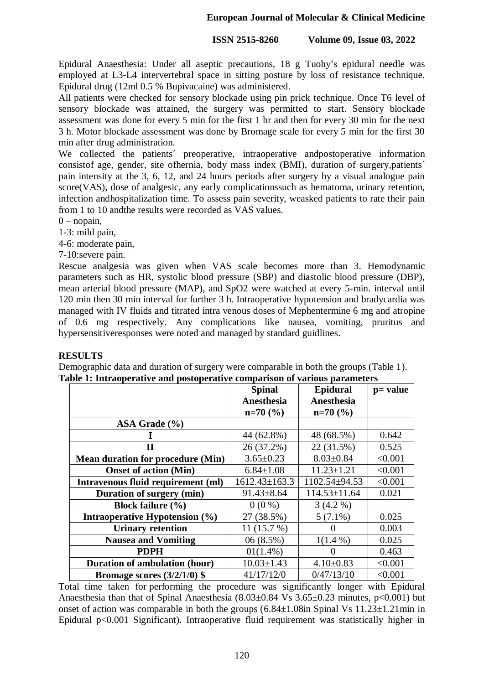Epidural Anaesthesia: Under all aseptic precautions, 18 g Tuohy's epidural needle was employed at L3-L4 intervertebral space in sitting posture by loss of resistance technique. Epidural drug (12ml 0.5 % Bupivacaine) was administered.

All patients were checked for sensory blockade using pin prick technique. Once T6 level of sensory blockade was attained, the surgery was permitted to start. Sensory blockade assessment was done for every 5 min for the first 1 hr and then for every 30 min for the next 3 h. Motor blockade assessment was done by Bromage scale for every 5 min for the first 30 min after drug administration.

We collected the patients´ preoperative, intraoperative andpostoperative information consistof age, gender, site ofhernia, body mass index (BMI), duration of surgery,patients´ pain intensity at the 3, 6, 12, and 24 hours periods after surgery by a visual analogue pain score(VAS), dose of analgesic, any early complicationssuch as hematoma, urinary retention, infection andhospitalization time. To assess pain severity, weasked patients to rate their pain from 1 to 10 andthe results were recorded as VAS values.

 $0$  – nopain,

1-3: mild pain,

4-6: moderate pain,

7-10:severe pain.

Rescue analgesia was given when VAS scale becomes more than 3. Hemodynamic parameters such as HR, systolic blood pressure (SBP) and diastolic blood pressure (DBP), mean arterial blood pressure (MAP), and SpO2 were watched at every 5-min. interval until 120 min then 30 min interval for further 3 h. Intraoperative hypotension and bradycardia was managed with IV fluids and titrated intra venous doses of Mephentermine 6 mg and atropine of 0.6 mg respectively. Any complications like nausea, vomiting, pruritus and hypersensitiveresponses were noted and managed by standard guidlines.

#### **RESULTS**

Demographic data and duration of surgery were comparable in both the groups (Table 1). **Table 1: Intraoperative and postoperative comparison of various parameters**

|                                          | <b>Spinal</b>       | Epidural            | p= value |
|------------------------------------------|---------------------|---------------------|----------|
|                                          | Anesthesia          | Anesthesia          |          |
|                                          | $n=70$ (%)          | $n=70$ (%)          |          |
| ASA Grade $(\% )$                        |                     |                     |          |
|                                          | 44 (62.8%)          | 48 (68.5%)          | 0.642    |
| П                                        | 26 (37.2%)          | 22 (31.5%)          | 0.525    |
| <b>Mean duration for procedure (Min)</b> | $3.65 \pm 0.23$     | $8.03 \pm 0.84$     | < 0.001  |
| <b>Onset of action (Min)</b>             | $6.84 \pm 1.08$     | $11.23 \pm 1.21$    | < 0.001  |
| Intravenous fluid requirement (ml)       | $1612.43 \pm 163.3$ | $1102.54 \pm 94.53$ | < 0.001  |
| Duration of surgery (min)                | $91.43 \pm 8.64$    | 114.53±11.64        | 0.021    |
| Block failure $(\% )$                    | $0(0\%)$            | $3(4.2\%)$          |          |
| Intraoperative Hypotension (%)           | 27 (38.5%)          | $5(7.1\%)$          | 0.025    |
| <b>Urinary retention</b>                 | 11 $(15.7%)$        |                     | 0.003    |
| <b>Nausea and Vomiting</b>               | 06(8.5%)            | $1(1.4\%)$          | 0.025    |
| <b>PDPH</b>                              | $01(1.4\%)$         |                     | 0.463    |
| <b>Duration of ambulation (hour)</b>     | $10.03 \pm 1.43$    | $4.10 \pm 0.83$     | < 0.001  |
| Bromage scores $(3/2/1/0)$ \$            | 41/17/12/0          | 0/47/13/10          | < 0.001  |

Total time taken for performing the procedure was significantly longer with Epidural Anaesthesia than that of Spinal Anaesthesia (8.03±0.84 Vs 3.65±0.23 minutes, p<0.001) but onset of action was comparable in both the groups  $(6.84\pm1.08$ in Spinal Vs  $11.23\pm1.21$ min in Epidural p<0.001 Significant). Intraoperative fluid requirement was statistically higher in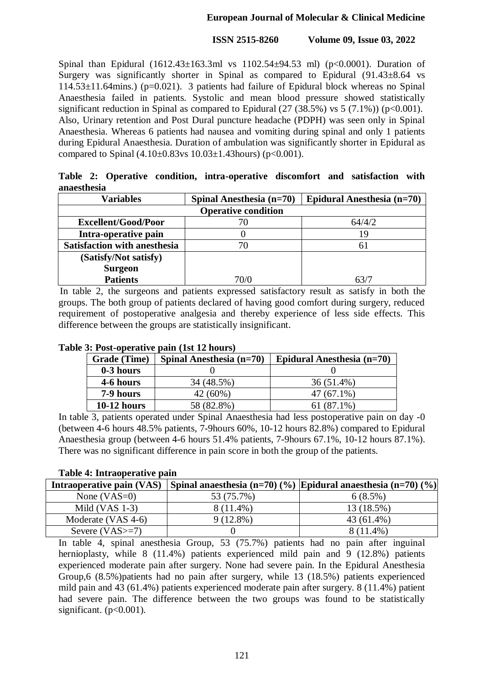Spinal than Epidural (1612.43±163.3ml vs 1102.54±94.53 ml) (p<0.0001). Duration of Surgery was significantly shorter in Spinal as compared to Epidural (91.43±8.64 vs  $114.53\pm11.64$ mins.) (p=0.021). 3 patients had failure of Epidural block whereas no Spinal Anaesthesia failed in patients. Systolic and mean blood pressure showed statistically significant reduction in Spinal as compared to Epidural  $(27 (38.5%)$  vs  $5 (7.1%)$  (p<0.001). Also, Urinary retention and Post Dural puncture headache (PDPH) was seen only in Spinal Anaesthesia. Whereas 6 patients had nausea and vomiting during spinal and only 1 patients during Epidural Anaesthesia. Duration of ambulation was significantly shorter in Epidural as compared to Spinal  $(4.10\pm0.83 \text{ vs } 10.03\pm1.43 \text{ hours})$  (p<0.001).

**Table 2: Operative condition, intra-operative discomfort and satisfaction with anaesthesia**

| <b>Variables</b>                    | Spinal Anesthesia (n=70) | Epidural Anesthesia (n=70) |  |
|-------------------------------------|--------------------------|----------------------------|--|
| <b>Operative condition</b>          |                          |                            |  |
| <b>Excellent/Good/Poor</b>          |                          | 64/4/2                     |  |
| Intra-operative pain                |                          | 19                         |  |
| <b>Satisfaction with anesthesia</b> | 70                       | 61                         |  |
| (Satisfy/Not satisfy)               |                          |                            |  |
| <b>Surgeon</b>                      |                          |                            |  |
| <b>Patients</b>                     | 70/0                     | 63/7                       |  |

In table 2, the surgeons and patients expressed satisfactory result as satisfy in both the groups. The both group of patients declared of having good comfort during surgery, reduced requirement of postoperative analgesia and thereby experience of less side effects. This difference between the groups are statistically insignificant.

| <b>Grade</b> (Time) | Spinal Anesthesia $(n=70)$ | Epidural Anesthesia (n=70) |
|---------------------|----------------------------|----------------------------|
| 0-3 hours           |                            |                            |
| 4-6 hours           | 34 (48.5%)                 | 36 (51.4%)                 |
| 7-9 hours           | 42 (60%)                   | $47(67.1\%)$               |
| $10-12$ hours       | 58 (82.8%)                 | $61(87.1\%)$               |

### **Table 3: Post-operative pain (1st 12 hours)**

In table 3, patients operated under Spinal Anaesthesia had less postoperative pain on day -0 (between 4-6 hours 48.5% patients, 7-9hours 60%, 10-12 hours 82.8%) compared to Epidural Anaesthesia group (between 4-6 hours 51.4% patients, 7-9hours 67.1%, 10-12 hours 87.1%). There was no significant difference in pain score in both the group of the patients.

### **Table 4: Intraoperative pain**

| Intraoperative pain (VAS) |             | Spinal anaesthesia (n=70) (%) Epidural anaesthesia (n=70) (%) |
|---------------------------|-------------|---------------------------------------------------------------|
| None $(VAS=0)$            | 53 (75.7%)  | $6(8.5\%)$                                                    |
| Mild $(VAS 1-3)$          | $8(11.4\%)$ | 13 (18.5%)                                                    |
| Moderate (VAS 4-6)        | $9(12.8\%)$ | 43 (61.4%)                                                    |
| Severe $(VAS>=7)$         |             | $8(11.4\%)$                                                   |

In table 4, spinal anesthesia Group, 53 (75.7%) patients had no pain after inguinal hernioplasty, while 8 (11.4%) patients experienced mild pain and 9 (12.8%) patients experienced moderate pain after surgery. None had severe pain. In the Epidural Anesthesia Group,6 (8.5%)patients had no pain after surgery, while 13 (18.5%) patients experienced mild pain and 43 (61.4%) patients experienced moderate pain after surgery. 8 (11.4%) patient had severe pain. The difference between the two groups was found to be statistically significant.  $(p<0.001)$ .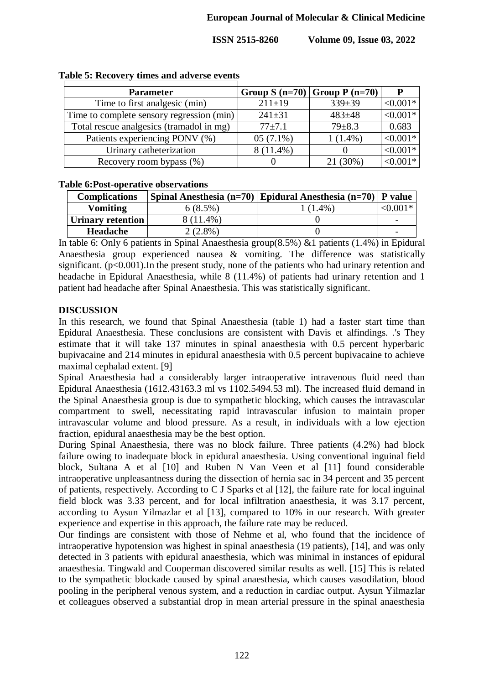| <b>Parameter</b>                          |              | Group S $(n=70)$ Group P $(n=70)$ |            |
|-------------------------------------------|--------------|-----------------------------------|------------|
| Time to first analgesic (min)             | $211 \pm 19$ | $339 \pm 39$                      | $< 0.001*$ |
| Time to complete sensory regression (min) | $241 \pm 31$ | $483 + 48$                        | $< 0.001*$ |
| Total rescue analgesics (tramadol in mg)  | $77 + 7.1$   | $79 \pm 8.3$                      | 0.683      |
| Patients experiencing PONV (%)            | $05(7.1\%)$  | $1(1.4\%)$                        | $< 0.001*$ |
| Urinary catheterization                   | $8(11.4\%)$  |                                   | $< 0.001*$ |
| Recovery room bypass (%)                  |              | 21 (30%)                          | $< 0.001*$ |

#### **Table 5: Recovery times and adverse events**

#### **Table 6:Post-operative observations**

| <b>Complications</b> |            | Spinal Anesthesia (n=70) Epidural Anesthesia (n=70)   P value |            |
|----------------------|------------|---------------------------------------------------------------|------------|
| <b>Vomiting</b>      | $6(8.5\%)$ | $(1.4\%)$                                                     | $< 0.001*$ |
| Urinary retention    | 8 (11.4%)  |                                                               |            |
| <b>Headache</b>      | $2.8\%$    |                                                               |            |

In table 6: Only 6 patients in Spinal Anaesthesia group(8.5%) &1 patients (1.4%) in Epidural Anaesthesia group experienced nausea & vomiting. The difference was statistically significant.  $(p<0.001)$ . In the present study, none of the patients who had urinary retention and headache in Epidural Anaesthesia, while 8 (11.4%) of patients had urinary retention and 1 patient had headache after Spinal Anaesthesia. This was statistically significant.

# **DISCUSSION**

In this research, we found that Spinal Anaesthesia (table 1) had a faster start time than Epidural Anaesthesia. These conclusions are consistent with Davis et alfindings. .'s They estimate that it will take 137 minutes in spinal anaesthesia with 0.5 percent hyperbaric bupivacaine and 214 minutes in epidural anaesthesia with 0.5 percent bupivacaine to achieve maximal cephalad extent. [9]

Spinal Anaesthesia had a considerably larger intraoperative intravenous fluid need than Epidural Anaesthesia (1612.43163.3 ml vs 1102.5494.53 ml). The increased fluid demand in the Spinal Anaesthesia group is due to sympathetic blocking, which causes the intravascular compartment to swell, necessitating rapid intravascular infusion to maintain proper intravascular volume and blood pressure. As a result, in individuals with a low ejection fraction, epidural anaesthesia may be the best option.

During Spinal Anaesthesia, there was no block failure. Three patients (4.2%) had block failure owing to inadequate block in epidural anaesthesia. Using conventional inguinal field block, Sultana A et al [10] and Ruben N Van Veen et al [11] found considerable intraoperative unpleasantness during the dissection of hernia sac in 34 percent and 35 percent of patients, respectively. According to C J Sparks et al [12], the failure rate for local inguinal field block was 3.33 percent, and for local infiltration anaesthesia, it was 3.17 percent, according to Aysun Yilmazlar et al [13], compared to 10% in our research. With greater experience and expertise in this approach, the failure rate may be reduced.

Our findings are consistent with those of Nehme et al, who found that the incidence of intraoperative hypotension was highest in spinal anaesthesia (19 patients), [14], and was only detected in 3 patients with epidural anaesthesia, which was minimal in instances of epidural anaesthesia. Tingwald and Cooperman discovered similar results as well. [15] This is related to the sympathetic blockade caused by spinal anaesthesia, which causes vasodilation, blood pooling in the peripheral venous system, and a reduction in cardiac output. Aysun Yilmazlar et colleagues observed a substantial drop in mean arterial pressure in the spinal anaesthesia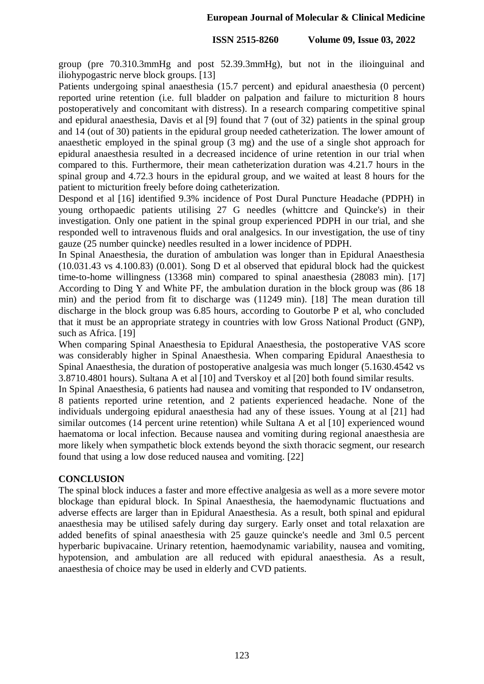group (pre 70.310.3mmHg and post 52.39.3mmHg), but not in the ilioinguinal and iliohypogastric nerve block groups. [13]

Patients undergoing spinal anaesthesia (15.7 percent) and epidural anaesthesia (0 percent) reported urine retention (i.e. full bladder on palpation and failure to micturition 8 hours postoperatively and concomitant with distress). In a research comparing competitive spinal and epidural anaesthesia, Davis et al [9] found that 7 (out of 32) patients in the spinal group and 14 (out of 30) patients in the epidural group needed catheterization. The lower amount of anaesthetic employed in the spinal group (3 mg) and the use of a single shot approach for epidural anaesthesia resulted in a decreased incidence of urine retention in our trial when compared to this. Furthermore, their mean catheterization duration was 4.21.7 hours in the spinal group and 4.72.3 hours in the epidural group, and we waited at least 8 hours for the patient to micturition freely before doing catheterization.

Despond et al [16] identified 9.3% incidence of Post Dural Puncture Headache (PDPH) in young orthopaedic patients utilising 27 G needles (whittcre and Quincke's) in their investigation. Only one patient in the spinal group experienced PDPH in our trial, and she responded well to intravenous fluids and oral analgesics. In our investigation, the use of tiny gauze (25 number quincke) needles resulted in a lower incidence of PDPH.

In Spinal Anaesthesia, the duration of ambulation was longer than in Epidural Anaesthesia (10.031.43 vs 4.100.83) (0.001). Song D et al observed that epidural block had the quickest time-to-home willingness (13368 min) compared to spinal anaesthesia (28083 min). [17] According to Ding Y and White PF, the ambulation duration in the block group was (86 18 min) and the period from fit to discharge was (11249 min). [18] The mean duration till discharge in the block group was 6.85 hours, according to Goutorbe P et al, who concluded that it must be an appropriate strategy in countries with low Gross National Product (GNP), such as Africa. [19]

When comparing Spinal Anaesthesia to Epidural Anaesthesia, the postoperative VAS score was considerably higher in Spinal Anaesthesia. When comparing Epidural Anaesthesia to Spinal Anaesthesia, the duration of postoperative analgesia was much longer (5.1630.4542 vs 3.8710.4801 hours). Sultana A et al [10] and Tverskoy et al [20] both found similar results.

In Spinal Anaesthesia, 6 patients had nausea and vomiting that responded to IV ondansetron, 8 patients reported urine retention, and 2 patients experienced headache. None of the individuals undergoing epidural anaesthesia had any of these issues. Young at al [21] had similar outcomes (14 percent urine retention) while Sultana A et al [10] experienced wound haematoma or local infection. Because nausea and vomiting during regional anaesthesia are more likely when sympathetic block extends beyond the sixth thoracic segment, our research found that using a low dose reduced nausea and vomiting. [22]

### **CONCLUSION**

The spinal block induces a faster and more effective analgesia as well as a more severe motor blockage than epidural block. In Spinal Anaesthesia, the haemodynamic fluctuations and adverse effects are larger than in Epidural Anaesthesia. As a result, both spinal and epidural anaesthesia may be utilised safely during day surgery. Early onset and total relaxation are added benefits of spinal anaesthesia with 25 gauze quincke's needle and 3ml 0.5 percent hyperbaric bupivacaine. Urinary retention, haemodynamic variability, nausea and vomiting, hypotension, and ambulation are all reduced with epidural anaesthesia. As a result, anaesthesia of choice may be used in elderly and CVD patients.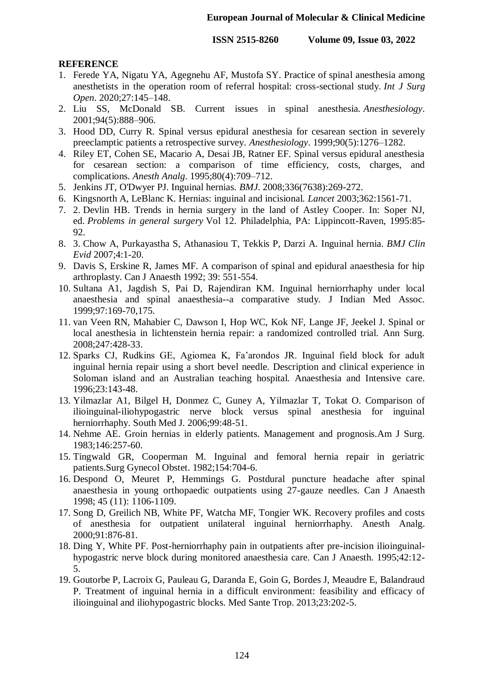## **REFERENCE**

- 1. Ferede YA, Nigatu YA, Agegnehu AF, Mustofa SY. Practice of spinal anesthesia among anesthetists in the operation room of referral hospital: cross-sectional study. *Int J Surg Open*. 2020;27:145–148.
- 2. Liu SS, McDonald SB. Current issues in spinal anesthesia. *Anesthesiology*. 2001;94(5):888–906.
- 3. Hood DD, Curry R. Spinal versus epidural anesthesia for cesarean section in severely preeclamptic patients a retrospective survey. *Anesthesiology*. 1999;90(5):1276–1282.
- 4. Riley ET, Cohen SE, Macario A, Desai JB, Ratner EF. Spinal versus epidural anesthesia for cesarean section: a comparison of time efficiency, costs, charges, and complications. *Anesth Analg*. 1995;80(4):709–712.
- 5. Jenkins JT, O'Dwyer PJ. Inguinal hernias. *BMJ*. 2008;336(7638):269-272.
- 6. Kingsnorth A, LeBlanc K. Hernias: inguinal and incisional. *Lancet* 2003;362:1561-71.
- 7. 2. Devlin HB. Trends in hernia surgery in the land of Astley Cooper. In: Soper NJ, ed. *Problems in general surgery* Vol 12. Philadelphia, PA: Lippincott-Raven, 1995:85- 92.
- 8. 3. Chow A, Purkayastha S, Athanasiou T, Tekkis P, Darzi A. Inguinal hernia. *BMJ Clin Evid* 2007;4:1-20.
- 9. Davis S, Erskine R, James MF. A comparison of spinal and epidural anaesthesia for hip arthroplasty. Can J Anaesth 1992; 39: 551-554.
- 10. Sultana A1, Jagdish S, Pai D, Rajendiran KM. Inguinal herniorrhaphy under local anaesthesia and spinal anaesthesia--a comparative study. J Indian Med Assoc. 1999;97:169-70,175.
- 11. van Veen RN, Mahabier C, Dawson I, Hop WC, Kok NF, Lange JF, Jeekel J. Spinal or local anesthesia in lichtenstein hernia repair: a randomized controlled trial. Ann Surg. 2008;247:428-33.
- 12. Sparks CJ, Rudkins GE, Agiomea K, Fa'arondos JR. Inguinal field block for adult inguinal hernia repair using a short bevel needle. Description and clinical experience in Soloman island and an Australian teaching hospital. Anaesthesia and Intensive care. 1996;23:143-48.
- 13. Yilmazlar A1, Bilgel H, Donmez C, Guney A, Yilmazlar T, Tokat O. Comparison of ilioinguinal-iliohypogastric nerve block versus spinal anesthesia for inguinal herniorrhaphy. South Med J. 2006;99:48-51.
- 14. Nehme AE. Groin hernias in elderly patients. Management and prognosis.Am J Surg. 1983;146:257-60.
- 15. Tingwald GR, Cooperman M. Inguinal and femoral hernia repair in geriatric patients.Surg Gynecol Obstet. 1982;154:704-6.
- 16. Despond O, Meuret P, Hemmings G. Postdural puncture headache after spinal anaesthesia in young orthopaedic outpatients using 27-gauze needles. Can J Anaesth 1998; 45 (11): 1106-1109.
- 17. Song D, Greilich NB, White PF, Watcha MF, Tongier WK. Recovery profiles and costs of anesthesia for outpatient unilateral inguinal herniorrhaphy. Anesth Analg. 2000;91:876-81.
- 18. Ding Y, White PF. Post-herniorrhaphy pain in outpatients after pre-incision ilioinguinalhypogastric nerve block during monitored anaesthesia care. Can J Anaesth. 1995;42:12- 5.
- 19. Goutorbe P, Lacroix G, Pauleau G, Daranda E, Goin G, Bordes J, Meaudre E, Balandraud P. Treatment of inguinal hernia in a difficult environment: feasibility and efficacy of ilioinguinal and iliohypogastric blocks. Med Sante Trop. 2013;23:202-5.